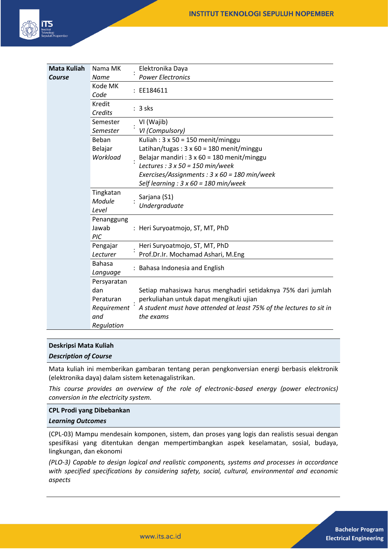

| <b>Mata Kuliah</b> | Nama MK                      |  | Elektronika Daya                                                                 |
|--------------------|------------------------------|--|----------------------------------------------------------------------------------|
| Course             | <b>Name</b>                  |  | <b>Power Electronics</b>                                                         |
|                    | Kode MK<br>Code              |  | : EE184611                                                                       |
|                    | Kredit<br>Credits            |  | $: 3$ sks                                                                        |
|                    | Semester                     |  | VI (Wajib)                                                                       |
|                    | Semester                     |  | VI (Compulsory)                                                                  |
|                    | Beban                        |  | Kuliah: $3 \times 50 = 150$ menit/minggu                                         |
|                    | Belajar                      |  | Latihan/tugas: $3 \times 60 = 180$ menit/minggu                                  |
|                    | Workload                     |  | Belajar mandiri : 3 x 60 = 180 menit/minggu                                      |
|                    |                              |  | Lectures : $3 \times 50 = 150$ min/week                                          |
|                    |                              |  | Exercises/Assignments: $3 \times 60 = 180$ min/week                              |
|                    |                              |  | Self learning : $3 \times 60 = 180$ min/week                                     |
|                    | Tingkatan<br>Module<br>Level |  | Sarjana (S1)<br>Undergraduate                                                    |
|                    | Penanggung<br>Jawab<br>PIC   |  | : Heri Suryoatmojo, ST, MT, PhD                                                  |
|                    | Pengajar                     |  | Heri Suryoatmojo, ST, MT, PhD                                                    |
|                    | Lecturer                     |  | Prof.Dr.Ir. Mochamad Ashari, M.Eng                                               |
|                    | <b>Bahasa</b><br>Language    |  | Bahasa Indonesia and English                                                     |
|                    | Persyaratan                  |  |                                                                                  |
|                    | dan                          |  | Setiap mahasiswa harus menghadiri setidaknya 75% dari jumlah                     |
|                    | Peraturan                    |  | perkuliahan untuk dapat mengikuti ujian                                          |
|                    | Requirement<br>and           |  | A student must have attended at least 75% of the lectures to sit in<br>the exams |
|                    | Regulation                   |  |                                                                                  |

### **Deskripsi Mata Kuliah**

*Description of Course*

Mata kuliah ini memberikan gambaran tentang peran pengkonversian energi berbasis elektronik (elektronika daya) dalam sistem ketenagalistrikan.

*This course provides an overview of the role of electronic-based energy (power electronics) conversion in the electricity system.*

### **CPL Prodi yang Dibebankan**

#### *Learning Outcomes*

(CPL-03) Mampu mendesain komponen, sistem, dan proses yang logis dan realistis sesuai dengan spesifikasi yang ditentukan dengan mempertimbangkan aspek keselamatan, sosial, budaya, lingkungan, dan ekonomi

*(PLO-3) Capable to design logical and realistic components, systems and processes in accordance with specified specifications by considering safety, social, cultural, environmental and economic aspects*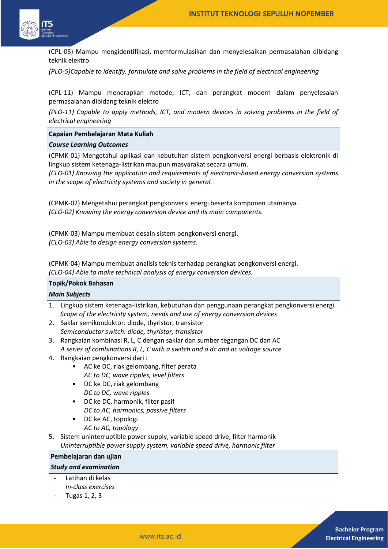

(CPL-05) Mampu mengidentifikasi, memformulasikan dan menyelesaikan permasalahan dibidang teknik elektro

*(PLO-5)Capable to identify, formulate and solve problems in the field of electrical engineering* 

(CPL-11) Mampu menerapkan metode, ICT, dan perangkat modern dalam penyelesaian permasalahan dibidang teknik elektro

*(PLO-11) Capable to apply methods, ICT, and modern devices in solving problems in the field of electrical engineering*

#### **Capaian Pembelajaran Mata Kuliah**

#### *Course Learning Outcomes*

(CPMK-01) Mengetahui aplikasi dan kebutuhan sistem pengkonversi energi berbasis elektronik di lingkup sistem ketenaga-listrikan maupun masyarakat secara umum.

*(CLO-01) Knowing the application and requirements of electronic-based energy conversion systems in the scope of electricity systems and society in general.*

(CPMK-02) Mengetahui perangkat pengkonversi energi beserta komponen utamanya. *(CLO-02) Knowing the energy conversion device and its main components.*

(CPMK-03) Mampu membuat desain sistem pengkonversi energi. *(CLO-03) Able to design energy conversion systems.*

(CPMK-04) Mampu membuat analisis teknis terhadap perangkat pengkonversi energi. *(CLO-04) Able to make technical analysis of energy conversion devices.*

## **Topik/Pokok Bahasan**

### *Main Subjects*

- 1. Lingkup sistem ketenaga-listrikan, kebutuhan dan penggunaan perangkat pengkonversi energi *Scope of the electricity system, needs and use of energy conversion devices*
- 2. Saklar semikonduktor: diode, thyristor, transistor *Semiconductor switch: diode, thyristor, transistor*
- 3. Rangkaian kombinasi R, L, C dengan saklar dan sumber tegangan DC dan AC *A series of combinations R, L, C with a switch and a dc and ac voltage source*
- 4. Rangkaian pengkonversi dari :
	- AC ke DC, riak gelombang, filter perata *AC to DC, wave ripples, level filters*
	- DC ke DC, riak gelombang
		- *DC to DC, wave ripples*
	- DC ke DC, harmonik, filter pasif *DC to AC, harmonics, passive filters*
	- DC ke AC, topologi *AC to AC, topology*
- 5. Sistem uninterruptible power supply, variable speed drive, filter harmonik *Uninterruptible power supply system, variable speed drive, harmonic filter*

## **Pembelajaran dan ujian**

## *Study and examination*

- Latihan di kelas *In-class exercises*
- Tugas 1, 2, 3